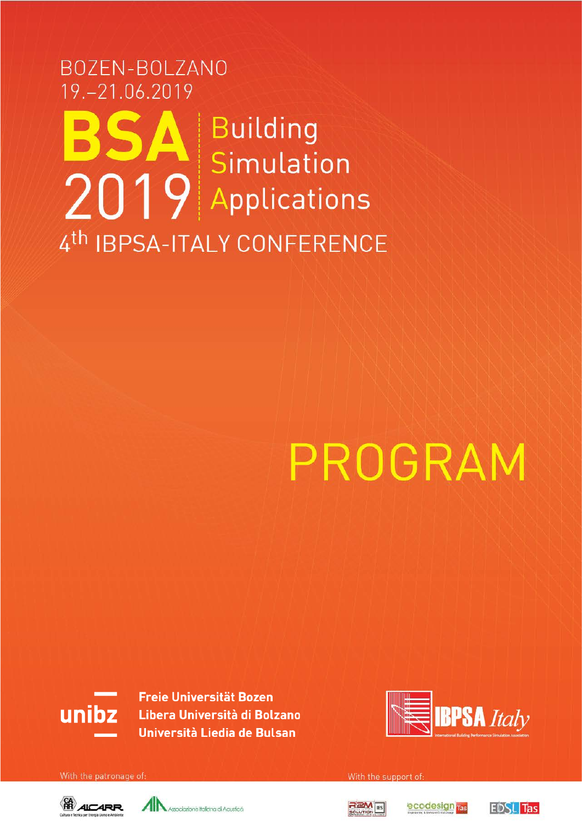### BOZEN-BOLZANO 19. - 21.06.2019 Building Simulation 2019 Applications 4th IBPSA-ITALY CONFERENCE

# PROGRAM



**Freie Universität Bozen** Libera Università di Bolzano Università Liedia de Bulsan



With the patronage of







With the support of

ecodesign ras

**EDSL** Tas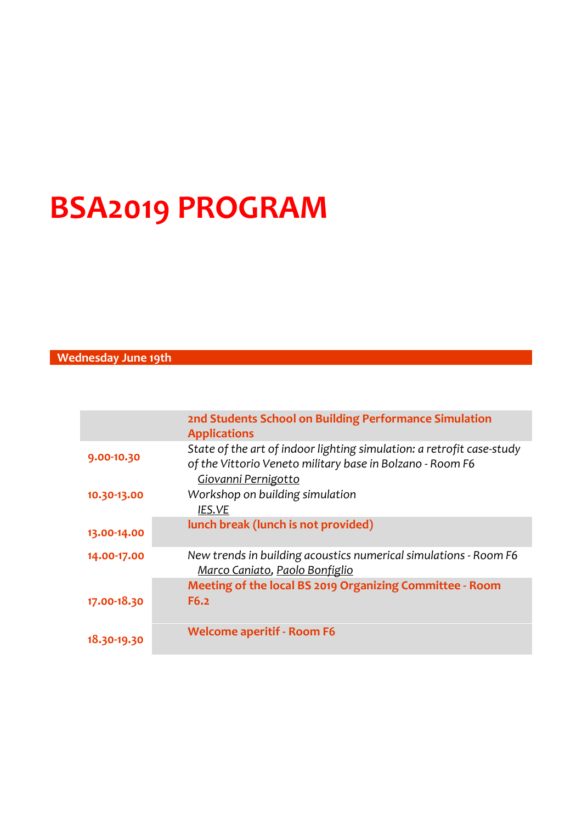## **BSA2019 PROGRAM**

#### **Wednesday June 19th**

|             | 2nd Students School on Building Performance Simulation<br><b>Applications</b>                                                                             |
|-------------|-----------------------------------------------------------------------------------------------------------------------------------------------------------|
| 9.00-10.30  | State of the art of indoor lighting simulation: a retrofit case-study<br>of the Vittorio Veneto military base in Bolzano - Room F6<br>Giovanni Pernigotto |
| 10.30-13.00 | Workshop on building simulation<br>IES.VE                                                                                                                 |
| 13.00-14.00 | lunch break (lunch is not provided)                                                                                                                       |
| 14.00-17.00 | New trends in building acoustics numerical simulations - Room F6<br>Marco Caniato, Paolo Bonfiglio                                                        |
|             | Meeting of the local BS 2019 Organizing Committee - Room                                                                                                  |
| 17.00-18.30 | F6.2                                                                                                                                                      |
| 18.30-19.30 | <b>Welcome aperitif - Room F6</b>                                                                                                                         |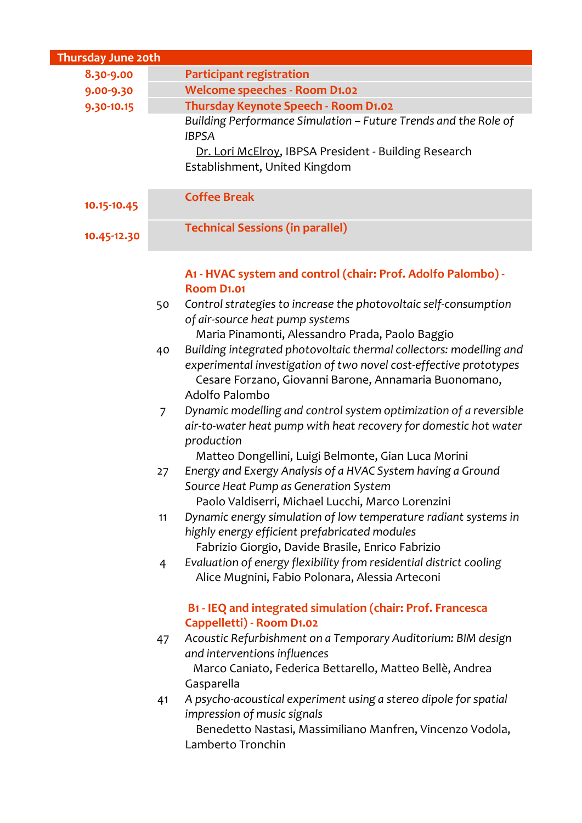| Thursday June 20th |    |                                                                                                                                                                                                                    |  |  |
|--------------------|----|--------------------------------------------------------------------------------------------------------------------------------------------------------------------------------------------------------------------|--|--|
| 8.30-9.00          |    | <b>Participant registration</b>                                                                                                                                                                                    |  |  |
| 9.00-9.30          |    | <b>Welcome speeches - Room D1.02</b>                                                                                                                                                                               |  |  |
| 9.30-10.15         |    | Thursday Keynote Speech - Room D1.02                                                                                                                                                                               |  |  |
|                    |    | Building Performance Simulation - Future Trends and the Role of<br><b>IBPSA</b>                                                                                                                                    |  |  |
|                    |    | Dr. Lori McElroy, IBPSA President - Building Research<br>Establishment, United Kingdom                                                                                                                             |  |  |
|                    |    |                                                                                                                                                                                                                    |  |  |
| 10.15-10.45        |    | <b>Coffee Break</b>                                                                                                                                                                                                |  |  |
| 10.45-12.30        |    | <b>Technical Sessions (in parallel)</b>                                                                                                                                                                            |  |  |
|                    |    | A1 - HVAC system and control (chair: Prof. Adolfo Palombo) -<br><b>Room D1.01</b>                                                                                                                                  |  |  |
|                    | 50 | Control strategies to increase the photovoltaic self-consumption<br>of air-source heat pump systems<br>Maria Pinamonti, Alessandro Prada, Paolo Baggio                                                             |  |  |
|                    | 40 | Building integrated photovoltaic thermal collectors: modelling and<br>experimental investigation of two novel cost-effective prototypes<br>Cesare Forzano, Giovanni Barone, Annamaria Buonomano,<br>Adolfo Palombo |  |  |
|                    | 7  | Dynamic modelling and control system optimization of a reversible<br>air-to-water heat pump with heat recovery for domestic hot water<br>production<br>Matteo Dongellini, Luigi Belmonte, Gian Luca Morini         |  |  |
|                    | 27 | Energy and Exergy Analysis of a HVAC System having a Ground<br>Source Heat Pump as Generation System<br>Paolo Valdiserri, Michael Lucchi, Marco Lorenzini                                                          |  |  |
|                    | 11 | Dynamic energy simulation of low temperature radiant systems in<br>highly energy efficient prefabricated modules<br>Fabrizio Giorgio, Davide Brasile, Enrico Fabrizio                                              |  |  |
|                    | 4  | Evaluation of energy flexibility from residential district cooling<br>Alice Mugnini, Fabio Polonara, Alessia Arteconi                                                                                              |  |  |
|                    |    | B1 - IEQ and integrated simulation (chair: Prof. Francesca<br>Cappelletti) - Room D1.02                                                                                                                            |  |  |
|                    | 47 | Acoustic Refurbishment on a Temporary Auditorium: BIM design<br>and interventions influences<br>Marco Caniato, Federica Bettarello, Matteo Bellè, Andrea<br>Gasparella                                             |  |  |
|                    | 41 | A psycho-acoustical experiment using a stereo dipole for spatial<br>impression of music signals<br>Benedetto Nastasi, Massimiliano Manfren, Vincenzo Vodola,<br>Lamberto Tronchin                                  |  |  |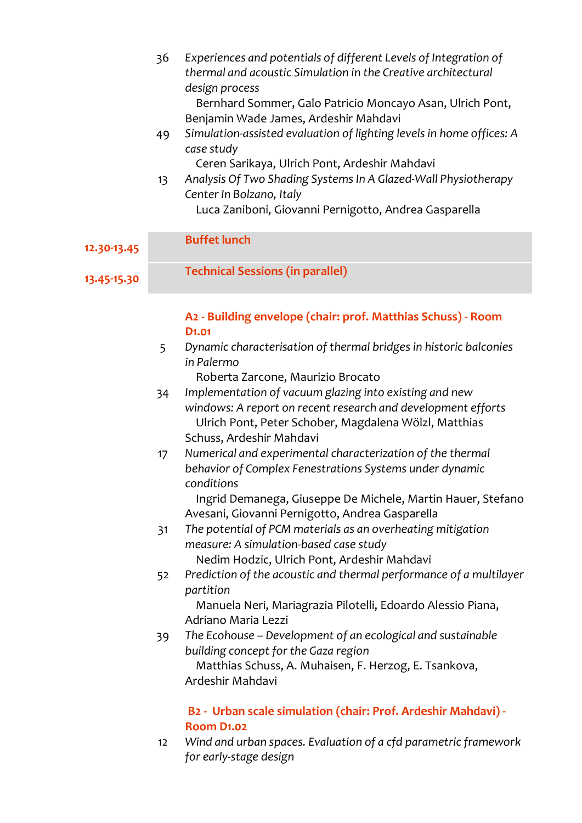|             | 36 | Experiences and potentials of different Levels of Integration of<br>thermal and acoustic Simulation in the Creative architectural<br>design process |
|-------------|----|-----------------------------------------------------------------------------------------------------------------------------------------------------|
|             |    | Bernhard Sommer, Galo Patricio Moncayo Asan, Ulrich Pont,                                                                                           |
|             | 49 | Benjamin Wade James, Ardeshir Mahdavi<br>Simulation-assisted evaluation of lighting levels in home offices: A                                       |
|             |    | case study                                                                                                                                          |
|             |    | Ceren Sarikaya, Ulrich Pont, Ardeshir Mahdavi                                                                                                       |
|             | 13 | Analysis Of Two Shading Systems In A Glazed-Wall Physiotherapy                                                                                      |
|             |    | Center In Bolzano, Italy                                                                                                                            |
|             |    | Luca Zaniboni, Giovanni Pernigotto, Andrea Gasparella                                                                                               |
|             |    | <b>Buffet lunch</b>                                                                                                                                 |
| 12.30-13.45 |    |                                                                                                                                                     |
| 13.45-15.30 |    | <b>Technical Sessions (in parallel)</b>                                                                                                             |
|             |    |                                                                                                                                                     |
|             |    |                                                                                                                                                     |
|             |    | A2 - Building envelope (chair: prof. Matthias Schuss) - Room<br>D <sub>1</sub> .01                                                                  |
|             | 5  | Dynamic characterisation of thermal bridges in historic balconies                                                                                   |
|             |    | in Palermo                                                                                                                                          |
|             |    | Roberta Zarcone, Maurizio Brocato                                                                                                                   |
|             | 34 | Implementation of vacuum glazing into existing and new                                                                                              |
|             |    | windows: A report on recent research and development efforts                                                                                        |
|             |    | Ulrich Pont, Peter Schober, Magdalena Wölzl, Matthias                                                                                               |
|             |    | Schuss, Ardeshir Mahdavi                                                                                                                            |
|             | 17 | Numerical and experimental characterization of the thermal                                                                                          |
|             |    | behavior of Complex Fenestrations Systems under dynamic<br>conditions                                                                               |
|             |    | Ingrid Demanega, Giuseppe De Michele, Martin Hauer, Stefano                                                                                         |
|             |    | Avesani, Giovanni Pernigotto, Andrea Gasparella                                                                                                     |
|             | 31 | The potential of PCM materials as an overheating mitigation                                                                                         |
|             |    | measure: A simulation-based case study                                                                                                              |
|             |    | Nedim Hodzic, Ulrich Pont, Ardeshir Mahdavi                                                                                                         |
|             | 52 | Prediction of the acoustic and thermal performance of a multilayer                                                                                  |
|             |    | partition                                                                                                                                           |
|             |    | Manuela Neri, Mariagrazia Pilotelli, Edoardo Alessio Piana,                                                                                         |
|             |    | Adriano Maria Lezzi                                                                                                                                 |
|             | 39 | The Ecohouse - Development of an ecological and sustainable                                                                                         |
|             |    | building concept for the Gaza region                                                                                                                |

 Matthias Schuss, A. Muhaisen, F. Herzog, E. Tsankova, Ardeshir Mahdavi

#### **B2 - Urban scale simulation (chair: Prof. Ardeshir Mahdavi) - Room D1.02**

12 *Wind and urban spaces. Evaluation of a cfd parametric framework for early-stage design*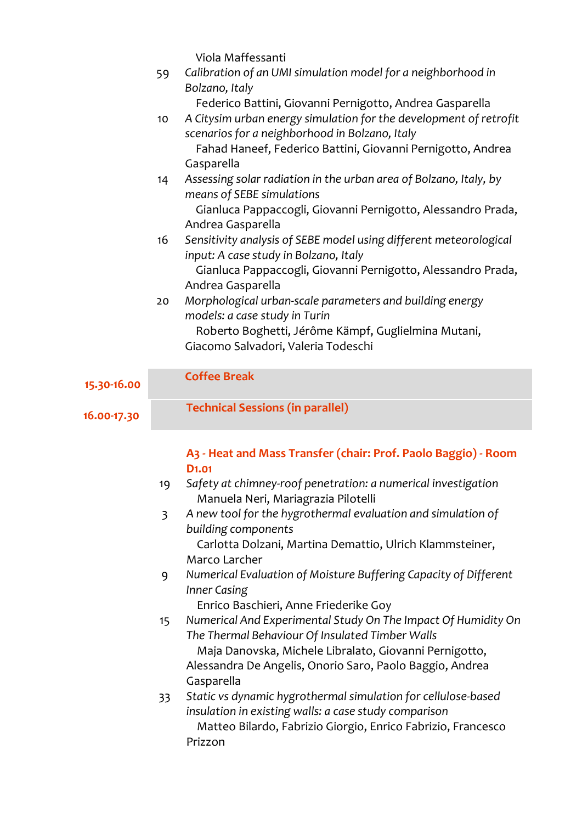|             |    | Viola Maffessanti                                                                                                          |
|-------------|----|----------------------------------------------------------------------------------------------------------------------------|
|             | 59 | Calibration of an UMI simulation model for a neighborhood in<br>Bolzano, Italy                                             |
|             |    | Federico Battini, Giovanni Pernigotto, Andrea Gasparella                                                                   |
|             | 10 | A Citysim urban energy simulation for the development of retrofit<br>scenarios for a neighborhood in Bolzano, Italy        |
|             |    | Fahad Haneef, Federico Battini, Giovanni Pernigotto, Andrea<br>Gasparella                                                  |
|             | 14 | Assessing solar radiation in the urban area of Bolzano, Italy, by<br>means of SEBE simulations                             |
|             |    | Gianluca Pappaccogli, Giovanni Pernigotto, Alessandro Prada,<br>Andrea Gasparella                                          |
|             | 16 | Sensitivity analysis of SEBE model using different meteorological                                                          |
|             |    | input: A case study in Bolzano, Italy<br>Gianluca Pappaccogli, Giovanni Pernigotto, Alessandro Prada,<br>Andrea Gasparella |
|             | 20 | Morphological urban-scale parameters and building energy<br>models: a case study in Turin                                  |
|             |    | Roberto Boghetti, Jérôme Kämpf, Guglielmina Mutani,<br>Giacomo Salvadori, Valeria Todeschi                                 |
|             |    |                                                                                                                            |
| 15.30-16.00 |    | <b>Coffee Break</b>                                                                                                        |
| 16.00-17.30 |    | <b>Technical Sessions (in parallel)</b>                                                                                    |
|             |    | An Heaterd Moss Transfer (shair: Dref, Daele Dessie), Deem                                                                 |

#### **A3 - Heat and Mass Transfer (chair: Prof. Paolo Baggio) - Room D1.01**

- 19 *Safety at chimney-roof penetration: a numerical investigation* Manuela Neri, Mariagrazia Pilotelli
- 3 *A new tool for the hygrothermal evaluation and simulation of building components*

 Carlotta Dolzani, Martina Demattio, Ulrich Klammsteiner, Marco Larcher

9 *Numerical Evaluation of Moisture Buffering Capacity of Different Inner Casing*

Enrico Baschieri, Anne Friederike Goy

- 15 *Numerical And Experimental Study On The Impact Of Humidity On The Thermal Behaviour Of Insulated Timber Walls* Maja Danovska, Michele Libralato, Giovanni Pernigotto, Alessandra De Angelis, Onorio Saro, Paolo Baggio, Andrea Gasparella
- 33 *Static vs dynamic hygrothermal simulation for cellulose-based insulation in existing walls: a case study comparison* Matteo Bilardo, Fabrizio Giorgio, Enrico Fabrizio, Francesco Prizzon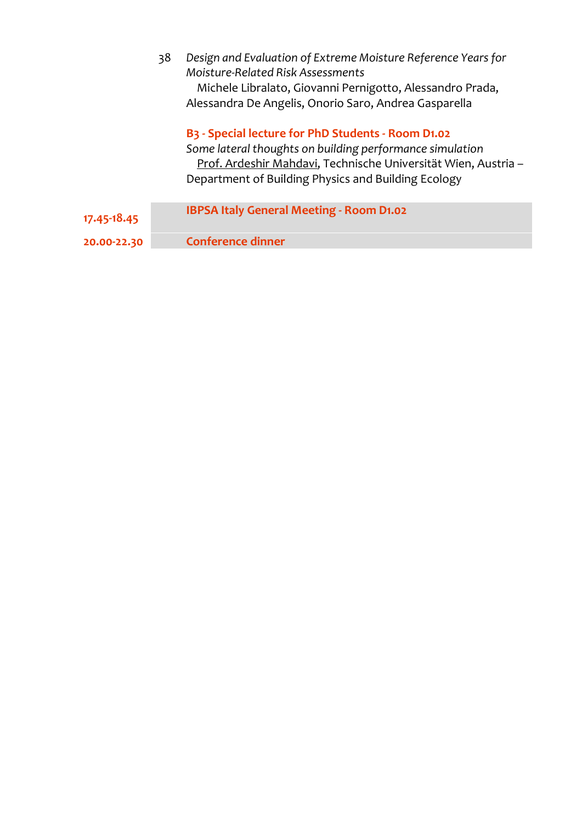|             | 38 | Design and Evaluation of Extreme Moisture Reference Years for<br>Moisture-Related Risk Assessments<br>Michele Libralato, Giovanni Pernigotto, Alessandro Prada,<br>Alessandra De Angelis, Onorio Saro, Andrea Gasparella                                         |
|-------------|----|------------------------------------------------------------------------------------------------------------------------------------------------------------------------------------------------------------------------------------------------------------------|
|             |    | B <sub>3</sub> - Special lecture for PhD Students - Room D <sub>1</sub> .02<br>Some lateral thoughts on building performance simulation<br>Prof. Ardeshir Mahdavi, Technische Universität Wien, Austria -<br>Department of Building Physics and Building Ecology |
| 17.45-18.45 |    | IBPSA Italy General Meeting - Room D1.02                                                                                                                                                                                                                         |
| 20.00-22.30 |    | <b>Conference dinner</b>                                                                                                                                                                                                                                         |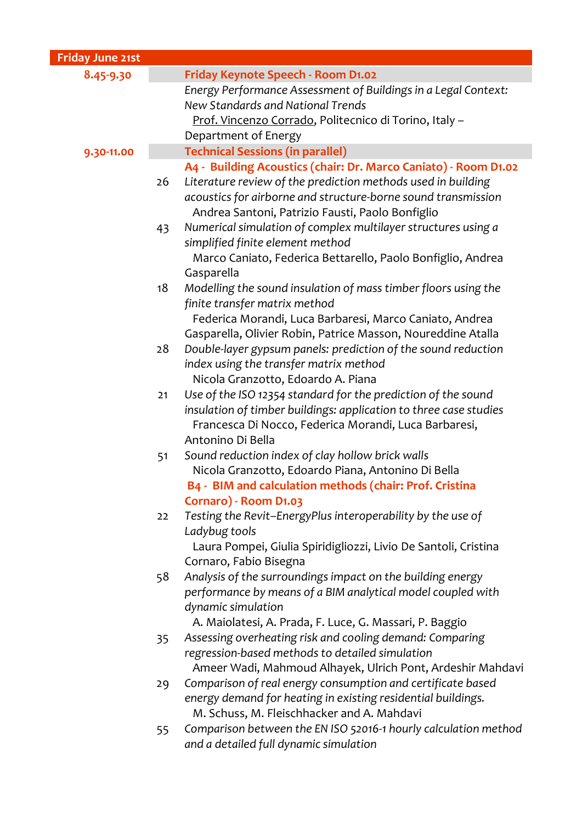| Friday June 21st |    |                                                                                                                            |
|------------------|----|----------------------------------------------------------------------------------------------------------------------------|
| 8.45-9.30        |    | Friday Keynote Speech - Room D1.02                                                                                         |
|                  |    | Energy Performance Assessment of Buildings in a Legal Context:                                                             |
|                  |    | New Standards and National Trends                                                                                          |
|                  |    | Prof. Vincenzo Corrado, Politecnico di Torino, Italy -                                                                     |
|                  |    | Department of Energy                                                                                                       |
| 9.30-11.00       |    | <b>Technical Sessions (in parallel)</b>                                                                                    |
|                  |    | A4 - Building Acoustics (chair: Dr. Marco Caniato) - Room D1.02                                                            |
|                  | 26 | Literature review of the prediction methods used in building                                                               |
|                  |    | acoustics for airborne and structure-borne sound transmission                                                              |
|                  |    | Andrea Santoni, Patrizio Fausti, Paolo Bonfiglio                                                                           |
|                  | 43 | Numerical simulation of complex multilayer structures using a                                                              |
|                  |    | simplified finite element method                                                                                           |
|                  |    | Marco Caniato, Federica Bettarello, Paolo Bonfiglio, Andrea                                                                |
|                  |    | Gasparella                                                                                                                 |
|                  | 18 | Modelling the sound insulation of mass timber floors using the                                                             |
|                  |    | finite transfer matrix method                                                                                              |
|                  |    | Federica Morandi, Luca Barbaresi, Marco Caniato, Andrea                                                                    |
|                  |    | Gasparella, Olivier Robin, Patrice Masson, Noureddine Atalla                                                               |
|                  | 28 | Double-layer gypsum panels: prediction of the sound reduction                                                              |
|                  |    | index using the transfer matrix method                                                                                     |
|                  |    | Nicola Granzotto, Edoardo A. Piana                                                                                         |
|                  | 21 | Use of the ISO 12354 standard for the prediction of the sound                                                              |
|                  |    | insulation of timber buildings: application to three case studies<br>Francesca Di Nocco, Federica Morandi, Luca Barbaresi, |
|                  |    | Antonino Di Bella                                                                                                          |
|                  | 51 | Sound reduction index of clay hollow brick walls                                                                           |
|                  |    | Nicola Granzotto, Edoardo Piana, Antonino Di Bella                                                                         |
|                  |    | B4 - BIM and calculation methods (chair: Prof. Cristina                                                                    |
|                  |    | Cornaro) - Room D1.03                                                                                                      |
|                  | 22 | Testing the Revit-EnergyPlus interoperability by the use of                                                                |
|                  |    | Ladybug tools                                                                                                              |
|                  |    | Laura Pompei, Giulia Spiridigliozzi, Livio De Santoli, Cristina                                                            |
|                  |    | Cornaro, Fabio Bisegna                                                                                                     |
|                  | 58 | Analysis of the surroundings impact on the building energy                                                                 |
|                  |    | performance by means of a BIM analytical model coupled with                                                                |
|                  |    | dynamic simulation                                                                                                         |
|                  |    | A. Maiolatesi, A. Prada, F. Luce, G. Massari, P. Baggio                                                                    |
|                  | 35 | Assessing overheating risk and cooling demand: Comparing                                                                   |
|                  |    | regression-based methods to detailed simulation                                                                            |
|                  |    | Ameer Wadi, Mahmoud Alhayek, Ulrich Pont, Ardeshir Mahdavi                                                                 |
|                  | 29 | Comparison of real energy consumption and certificate based                                                                |
|                  |    | energy demand for heating in existing residential buildings.                                                               |
|                  |    | M. Schuss, M. Fleischhacker and A. Mahdavi                                                                                 |
|                  | 55 | Comparison between the EN ISO 52016-1 hourly calculation method                                                            |
|                  |    | and a detailed full dynamic simulation                                                                                     |
|                  |    |                                                                                                                            |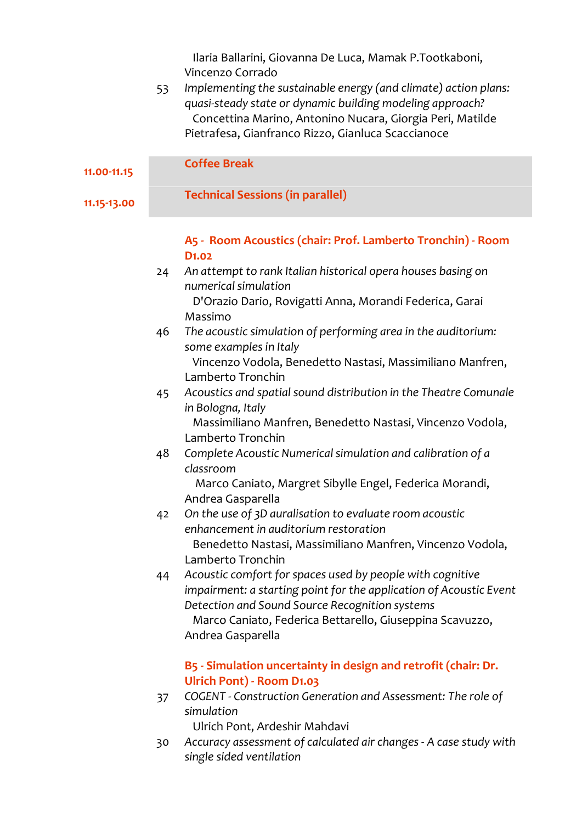Ilaria Ballarini, Giovanna De Luca, Mamak P.Tootkaboni, Vincenzo Corrado

| 53 | Implementing the sustainable energy (and climate) action plans: |
|----|-----------------------------------------------------------------|
|    | quasi-steady state or dynamic building modeling approach?       |
|    | Concettina Marino, Antonino Nucara, Giorgia Peri, Matilde       |
|    | Pietrafesa, Gianfranco Rizzo, Gianluca Scaccianoce              |

| 11.00-11.15 |    | <b>Coffee Break</b>                                                                                                                                                               |  |  |
|-------------|----|-----------------------------------------------------------------------------------------------------------------------------------------------------------------------------------|--|--|
| 11.15-13.00 |    | <b>Technical Sessions (in parallel)</b>                                                                                                                                           |  |  |
|             |    | A5 - Room Acoustics (chair: Prof. Lamberto Tronchin) - Room<br>D <sub>1</sub> .02                                                                                                 |  |  |
|             | 24 | An attempt to rank Italian historical opera houses basing on<br>numerical simulation<br>D'Orazio Dario, Rovigatti Anna, Morandi Federica, Garai                                   |  |  |
|             | 46 | Massimo<br>The acoustic simulation of performing area in the auditorium:<br>some examples in Italy                                                                                |  |  |
|             |    | Vincenzo Vodola, Benedetto Nastasi, Massimiliano Manfren,<br>Lamberto Tronchin                                                                                                    |  |  |
|             | 45 | Acoustics and spatial sound distribution in the Theatre Comunale<br>in Bologna, Italy                                                                                             |  |  |
|             |    | Massimiliano Manfren, Benedetto Nastasi, Vincenzo Vodola,<br>Lamberto Tronchin                                                                                                    |  |  |
|             | 48 | Complete Acoustic Numerical simulation and calibration of a<br>classroom<br>Marco Caniato, Margret Sibylle Engel, Federica Morandi,                                               |  |  |
|             |    | Andrea Gasparella                                                                                                                                                                 |  |  |
|             | 42 | On the use of 3D auralisation to evaluate room acoustic<br>enhancement in auditorium restoration<br>Benedetto Nastasi, Massimiliano Manfren, Vincenzo Vodola,                     |  |  |
|             |    | Lamberto Tronchin                                                                                                                                                                 |  |  |
|             | 44 | Acoustic comfort for spaces used by people with cognitive<br>impairment: a starting point for the application of Acoustic Event<br>Detection and Sound Source Recognition systems |  |  |
|             |    | Marco Caniato, Federica Bettarello, Giuseppina Scavuzzo,<br>Andrea Gasparella                                                                                                     |  |  |
|             |    | B5 - Simulation uncertainty in design and retrofit (chair: Dr.<br>Ulrich Pont) - Room D1.03                                                                                       |  |  |
|             | 37 | COGENT - Construction Generation and Assessment: The role of<br>simulation                                                                                                        |  |  |
|             | 30 | Ulrich Pont, Ardeshir Mahdavi<br>Accuracy assessment of calculated air changes - A case study with                                                                                |  |  |

*single sided ventilation*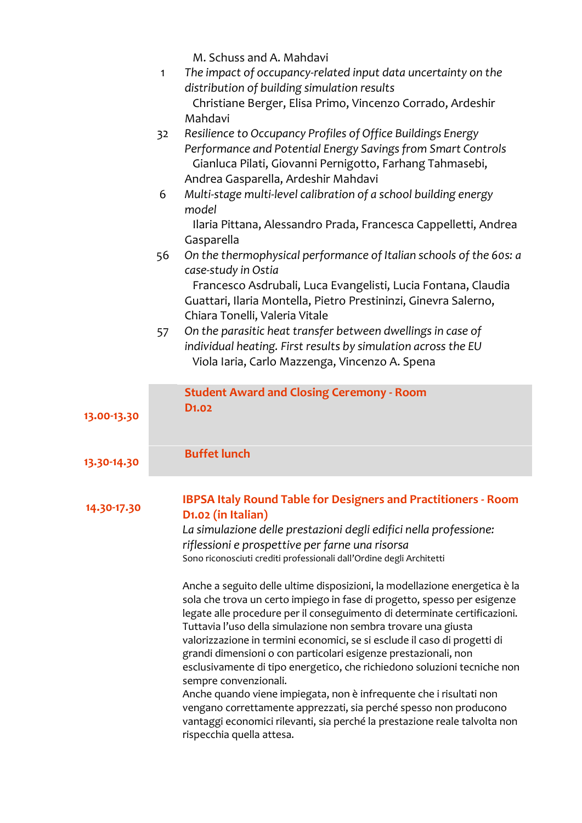M. Schuss and A. Mahdavi

|             | $\mathbf{1}$ | The impact of occupancy-related input data uncertainty on the                                                                                                                                                                                                                                                                                                                                                                                                                                                                                              |
|-------------|--------------|------------------------------------------------------------------------------------------------------------------------------------------------------------------------------------------------------------------------------------------------------------------------------------------------------------------------------------------------------------------------------------------------------------------------------------------------------------------------------------------------------------------------------------------------------------|
|             |              | distribution of building simulation results                                                                                                                                                                                                                                                                                                                                                                                                                                                                                                                |
|             |              | Christiane Berger, Elisa Primo, Vincenzo Corrado, Ardeshir<br>Mahdavi                                                                                                                                                                                                                                                                                                                                                                                                                                                                                      |
|             | 32           | Resilience to Occupancy Profiles of Office Buildings Energy                                                                                                                                                                                                                                                                                                                                                                                                                                                                                                |
|             |              | Performance and Potential Energy Savings from Smart Controls<br>Gianluca Pilati, Giovanni Pernigotto, Farhang Tahmasebi,<br>Andrea Gasparella, Ardeshir Mahdavi                                                                                                                                                                                                                                                                                                                                                                                            |
|             | 6            | Multi-stage multi-level calibration of a school building energy<br>model                                                                                                                                                                                                                                                                                                                                                                                                                                                                                   |
|             |              | Ilaria Pittana, Alessandro Prada, Francesca Cappelletti, Andrea<br>Gasparella                                                                                                                                                                                                                                                                                                                                                                                                                                                                              |
|             | 56           | On the thermophysical performance of Italian schools of the 60s: a<br>case-study in Ostia                                                                                                                                                                                                                                                                                                                                                                                                                                                                  |
|             |              | Francesco Asdrubali, Luca Evangelisti, Lucia Fontana, Claudia<br>Guattari, Ilaria Montella, Pietro Prestininzi, Ginevra Salerno,<br>Chiara Tonelli, Valeria Vitale                                                                                                                                                                                                                                                                                                                                                                                         |
|             | 57           | On the parasitic heat transfer between dwellings in case of<br>individual heating. First results by simulation across the EU<br>Viola Iaria, Carlo Mazzenga, Vincenzo A. Spena                                                                                                                                                                                                                                                                                                                                                                             |
|             |              | <b>Student Award and Closing Ceremony - Room</b>                                                                                                                                                                                                                                                                                                                                                                                                                                                                                                           |
| 13.00-13.30 |              | D <sub>1</sub> .02                                                                                                                                                                                                                                                                                                                                                                                                                                                                                                                                         |
| 13.30-14.30 |              | <b>Buffet lunch</b>                                                                                                                                                                                                                                                                                                                                                                                                                                                                                                                                        |
| 14.30-17.30 |              | <b>IBPSA Italy Round Table for Designers and Practitioners - Room</b><br>D1.02 (in Italian)<br>La simulazione delle prestazioni degli edifici nella professione:<br>riflessioni e prospettive per farne una risorsa                                                                                                                                                                                                                                                                                                                                        |
|             |              | Sono riconosciuti crediti professionali dall'Ordine degli Architetti                                                                                                                                                                                                                                                                                                                                                                                                                                                                                       |
|             |              | Anche a seguito delle ultime disposizioni, la modellazione energetica è la<br>sola che trova un certo impiego in fase di progetto, spesso per esigenze<br>legate alle procedure per il conseguimento di determinate certificazioni.<br>Tuttavia l'uso della simulazione non sembra trovare una giusta<br>valorizzazione in termini economici, se si esclude il caso di progetti di<br>grandi dimensioni o con particolari esigenze prestazionali, non<br>esclusivamente di tipo energetico, che richiedono soluzioni tecniche non<br>sempre convenzionali. |
|             |              | Anche quando viene impiegata, non è infrequente che i risultati non<br>vengano correttamente apprezzati, sia perché spesso non producono<br>vantaggi economici rilevanti, sia perché la prestazione reale talvolta non<br>rispecchia quella attesa.                                                                                                                                                                                                                                                                                                        |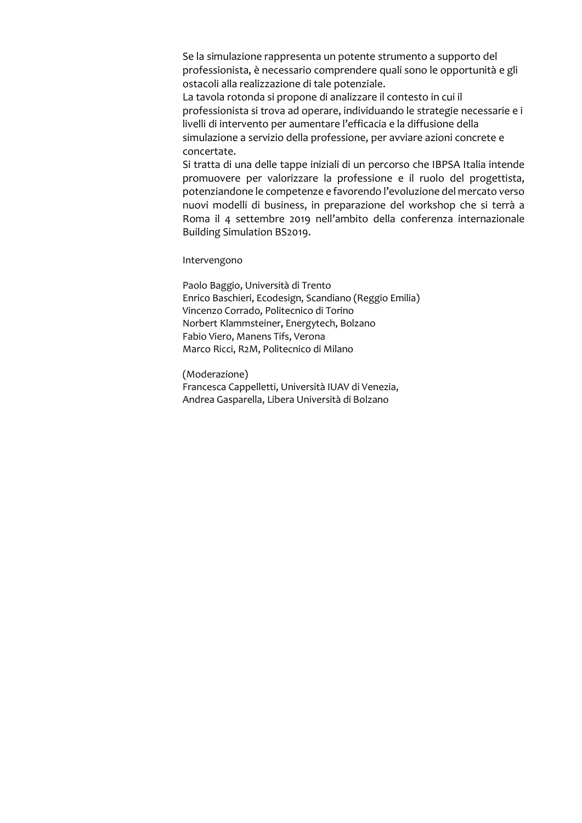Se la simulazione rappresenta un potente strumento a supporto del professionista, è necessario comprendere quali sono le opportunità e gli ostacoli alla realizzazione di tale potenziale.

La tavola rotonda si propone di analizzare il contesto in cui il professionista si trova ad operare, individuando le strategie necessarie e i livelli di intervento per aumentare l'efficacia e la diffusione della simulazione a servizio della professione, per avviare azioni concrete e concertate.

Si tratta di una delle tappe iniziali di un percorso che IBPSA Italia intende promuovere per valorizzare la professione e il ruolo del progettista, potenziandone le competenze e favorendo l'evoluzione del mercato verso nuovi modelli di business, in preparazione del workshop che si terrà a Roma il 4 settembre 2019 nell'ambito della conferenza internazionale Building Simulation BS2019.

Intervengono

Paolo Baggio, Università di Trento Enrico Baschieri, Ecodesign, Scandiano (Reggio Emilia) Vincenzo Corrado, Politecnico di Torino Norbert Klammsteiner, Energytech, Bolzano Fabio Viero, Manens Tifs, Verona Marco Ricci, R2M, Politecnico di Milano

(Moderazione) Francesca Cappelletti, Università IUAV di Venezia, Andrea Gasparella, Libera Università di Bolzano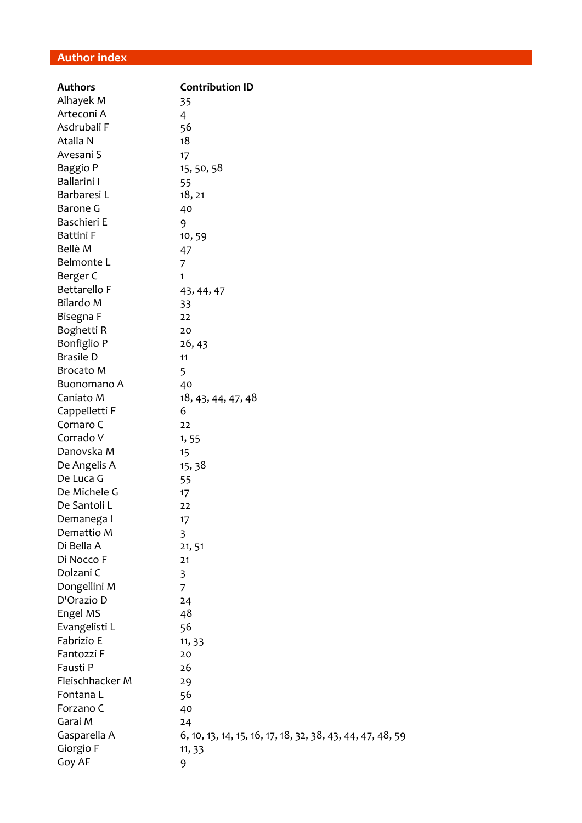#### **Author index**

| <b>Authors</b>   | <b>Contribution ID</b>                                    |
|------------------|-----------------------------------------------------------|
| Alhayek M        | 35                                                        |
| Arteconi A       | 4                                                         |
| Asdrubali F      | 56                                                        |
| Atalla N         | 18                                                        |
| Avesani S        | 17                                                        |
| Baggio P         | 15, 50, 58                                                |
| Ballarini I      | 55                                                        |
| Barbaresi L      | 18, 21                                                    |
| Barone G         | 40                                                        |
| Baschieri E      | 9                                                         |
| <b>Battini</b> F | 10,59                                                     |
| Bellè M          | 47                                                        |
| Belmonte L       | 7                                                         |
| Berger C         | 1                                                         |
| Bettarello F     | 43, 44, 47                                                |
| Bilardo M        | 33                                                        |
| Bisegna F        | 22                                                        |
| Boghetti R       | 20                                                        |
| Bonfiglio P      | 26, 43                                                    |
| <b>Brasile D</b> | 11                                                        |
| <b>Brocato M</b> | 5                                                         |
| Buonomano A      | 40                                                        |
| Caniato M        | 18, 43, 44, 47, 48                                        |
| Cappelletti F    | 6                                                         |
| Cornaro C        | 22                                                        |
| Corrado V        | 1,55                                                      |
| Danovska M       | 15                                                        |
| De Angelis A     | 15, 38                                                    |
| De Luca G        | 55                                                        |
| De Michele G     | 17                                                        |
| De Santoli L     | 22                                                        |
| Demanega I       | 17                                                        |
| Demattio M       | 3                                                         |
| Di Bella A       | 21, 51                                                    |
| Di Nocco F       | 21                                                        |
| Dolzani C        | 3                                                         |
| Dongellini M     | 7                                                         |
| D'Orazio D       | 24                                                        |
| Engel MS         | 48                                                        |
| Evangelisti L    | 56                                                        |
| Fabrizio E       | 11, 33                                                    |
| Fantozzi F       | 20                                                        |
| Fausti P         | 26                                                        |
| Fleischhacker M  | 29                                                        |
| Fontana L        | 56                                                        |
| Forzano C        | 40                                                        |
| Garai M          | 24                                                        |
| Gasparella A     | 6, 10, 13, 14, 15, 16, 17, 18, 32, 38, 43, 44, 47, 48, 59 |
| Giorgio F        | 11, 33                                                    |
| Goy AF           | 9                                                         |
|                  |                                                           |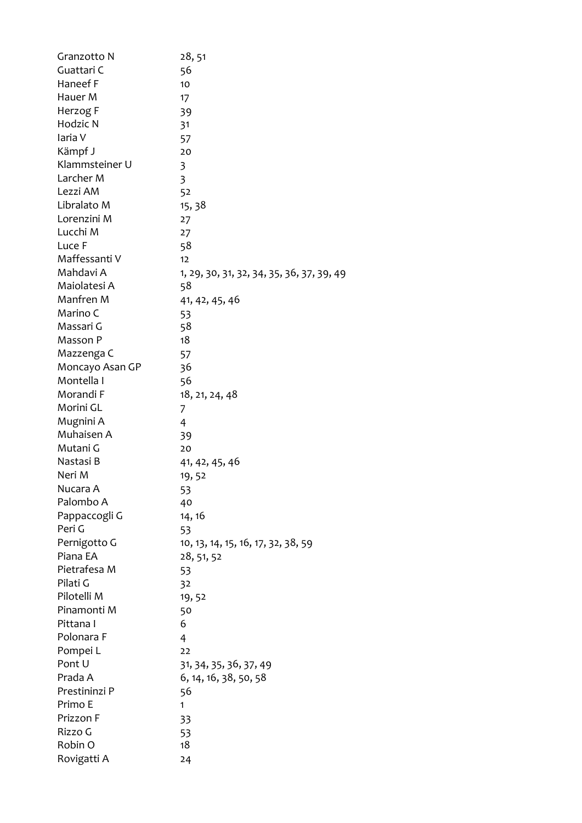| Granzotto N     | 28, 51                                    |
|-----------------|-------------------------------------------|
| Guattari C      | 56                                        |
| Haneef F        | 10                                        |
| Hauer M         | 17                                        |
| Herzog F        | 39                                        |
| Hodzic N        | 31                                        |
| laria V         | 57                                        |
| Kämpf J         | 20                                        |
| Klammsteiner U  | 3                                         |
| Larcher M       | 3                                         |
| Lezzi AM        | 52                                        |
| Libralato M     | 15, 38                                    |
| Lorenzini M     | 27                                        |
| Lucchi M        | 27                                        |
| Luce F          | 58                                        |
| Maffessanti V   | 12                                        |
| Mahdavi A       | 1, 29, 30, 31, 32, 34, 35, 36, 37, 39, 49 |
| Maiolatesi A    | 58                                        |
| Manfren M       | 41, 42, 45, 46                            |
| Marino C        | 53                                        |
| Massari G       | 58                                        |
| Masson P        | 18                                        |
| Mazzenga C      | 57                                        |
| Moncayo Asan GP | 36                                        |
| Montella I      | 56                                        |
| Morandi F       | 18, 21, 24, 48                            |
| Morini GL       | 7                                         |
| Mugnini A       | 4                                         |
| Muhaisen A      | 39                                        |
| Mutani G        | 20                                        |
| Nastasi B       | 41, 42, 45, 46                            |
| Neri M          | 19,52                                     |
| Nucara A        | 53                                        |
| Palombo A       | 40                                        |
| Pappaccogli G   | 14, 16                                    |
| Peri G          | 53                                        |
| Pernigotto G    | 10, 13, 14, 15, 16, 17, 32, 38, 59        |
| Piana EA        | 28, 51, 52                                |
| Pietrafesa M    | 53                                        |
| Pilati G        | 32                                        |
| Pilotelli M     | 19,52                                     |
| Pinamonti M     | 50                                        |
| Pittana I       | 6                                         |
| Polonara F      | 4                                         |
| Pompei L        | 22                                        |
| Pont U          | 31, 34, 35, 36, 37, 49                    |
| Prada A         | 6, 14, 16, 38, 50, 58                     |
| Prestininzi P   | 56                                        |
| Primo E         | 1                                         |
| Prizzon F       | 33                                        |
| Rizzo G         | 53                                        |
| Robin O         | 18                                        |
| Rovigatti A     | 24                                        |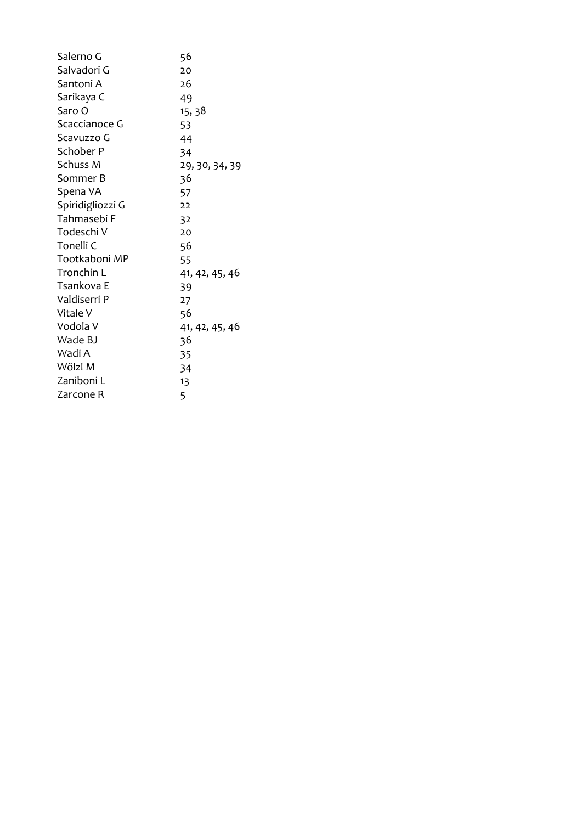| Salerno G        | 56             |
|------------------|----------------|
| Salvadori G      | 20             |
| Santoni A        | 26             |
|                  |                |
| Sarikaya C       | 49             |
| Saro O           | 15, 38         |
| Scaccianoce G    | 53             |
| Scavuzzo G       | 44             |
| Schober P        | 34             |
| Schuss M         | 29, 30, 34, 39 |
| Sommer B         | 36             |
| Spena VA         | 57             |
| Spiridigliozzi G | 22             |
| Tahmasebi F      | 32             |
| Todeschi V       | 20             |
| Tonelli C        | 56             |
| Tootkaboni MP    | 55             |
| Tronchin L       | 41, 42, 45, 46 |
| Tsankova E       | 39             |
| Valdiserri P     | 27             |
| Vitale V         | 56             |
| Vodola V         | 41, 42, 45, 46 |
| Wade BJ          | 36             |
| Wadi A           | 35             |
| Wölzl M          | 34             |
| Zaniboni L       | 13             |
| Zarcone R        | 5              |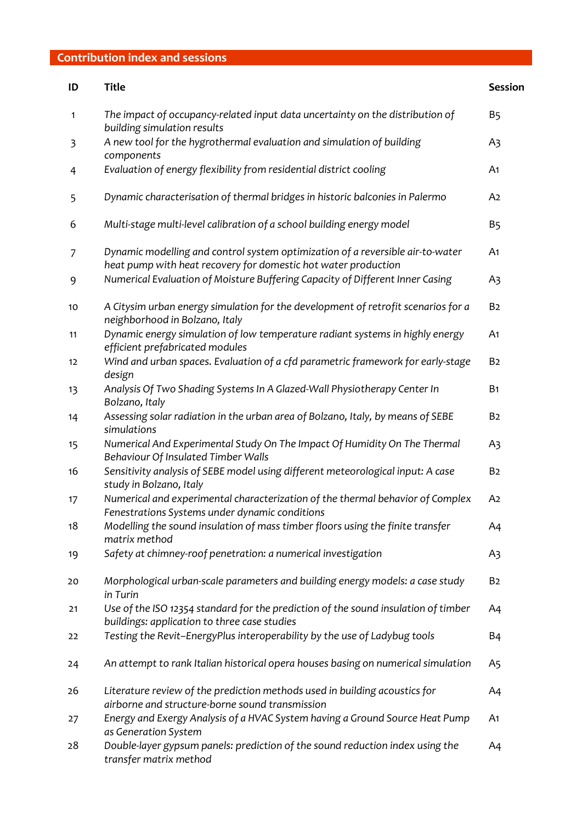#### **Contribution index and sessions**

| ID | Title                                                                                                                                            | Session        |
|----|--------------------------------------------------------------------------------------------------------------------------------------------------|----------------|
| 1  | The impact of occupancy-related input data uncertainty on the distribution of<br>building simulation results                                     | B5             |
| 3  | A new tool for the hygrothermal evaluation and simulation of building<br>components                                                              | A3             |
| 4  | Evaluation of energy flexibility from residential district cooling                                                                               | A <sub>1</sub> |
| 5  | Dynamic characterisation of thermal bridges in historic balconies in Palermo                                                                     | A <sub>2</sub> |
| 6  | Multi-stage multi-level calibration of a school building energy model                                                                            | B5             |
| 7  | Dynamic modelling and control system optimization of a reversible air-to-water<br>heat pump with heat recovery for domestic hot water production | A <sub>1</sub> |
| 9  | Numerical Evaluation of Moisture Buffering Capacity of Different Inner Casing                                                                    | A3             |
| 10 | A Citysim urban energy simulation for the development of retrofit scenarios for a<br>neighborhood in Bolzano, Italy                              | B <sub>2</sub> |
| 11 | Dynamic energy simulation of low temperature radiant systems in highly energy<br>efficient prefabricated modules                                 | A1             |
| 12 | Wind and urban spaces. Evaluation of a cfd parametric framework for early-stage<br>design                                                        | B <sub>2</sub> |
| 13 | Analysis Of Two Shading Systems In A Glazed-Wall Physiotherapy Center In<br>Bolzano, Italy                                                       | <b>B1</b>      |
| 14 | Assessing solar radiation in the urban area of Bolzano, Italy, by means of SEBE<br>simulations                                                   | B <sub>2</sub> |
| 15 | Numerical And Experimental Study On The Impact Of Humidity On The Thermal<br>Behaviour Of Insulated Timber Walls                                 | A3             |
| 16 | Sensitivity analysis of SEBE model using different meteorological input: A case<br>study in Bolzano, Italy                                       | B <sub>2</sub> |
| 17 | Numerical and experimental characterization of the thermal behavior of Complex<br>Fenestrations Systems under dynamic conditions                 | A <sub>2</sub> |
| 18 | Modelling the sound insulation of mass timber floors using the finite transfer<br>matrix method                                                  | A4             |
| 19 | Safety at chimney-roof penetration: a numerical investigation                                                                                    | A3             |
| 20 | Morphological urban-scale parameters and building energy models: a case study<br>in Turin                                                        | B <sub>2</sub> |
| 21 | Use of the ISO 12354 standard for the prediction of the sound insulation of timber<br>buildings: application to three case studies               | A4             |
| 22 | Testing the Revit-EnergyPlus interoperability by the use of Ladybug tools                                                                        | Β4             |
| 24 | An attempt to rank Italian historical opera houses basing on numerical simulation                                                                | A5             |
| 26 | Literature review of the prediction methods used in building acoustics for<br>airborne and structure-borne sound transmission                    | A4             |
| 27 | Energy and Exergy Analysis of a HVAC System having a Ground Source Heat Pump<br>as Generation System                                             | A1             |
| 28 | Double-layer gypsum panels: prediction of the sound reduction index using the<br>transfer matrix method                                          | A4             |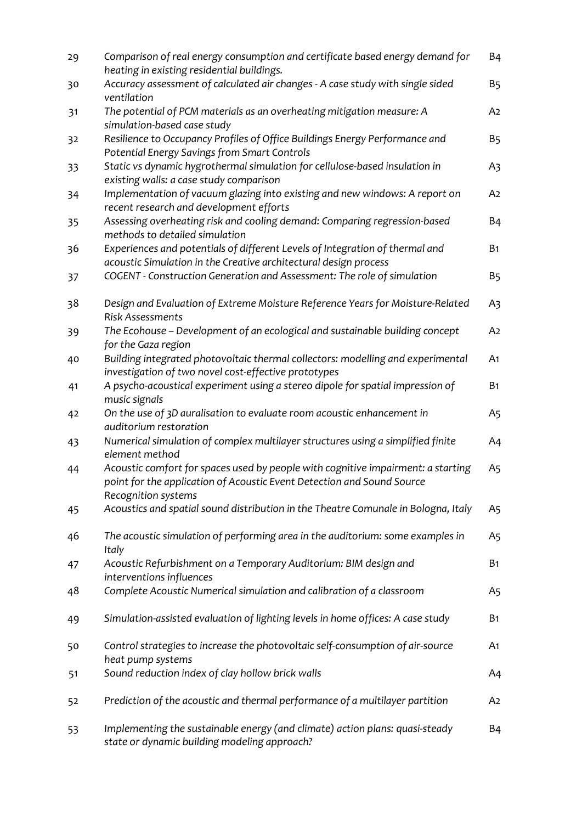| 29 | Comparison of real energy consumption and certificate based energy demand for<br>heating in existing residential buildings.                                                       | <b>B4</b>  |
|----|-----------------------------------------------------------------------------------------------------------------------------------------------------------------------------------|------------|
| 30 | Accuracy assessment of calculated air changes - A case study with single sided<br>ventilation                                                                                     | B5         |
| 31 | The potential of PCM materials as an overheating mitigation measure: A<br>simulation-based case study                                                                             | A2         |
| 32 | Resilience to Occupancy Profiles of Office Buildings Energy Performance and<br>Potential Energy Savings from Smart Controls                                                       | B5         |
| 33 | Static vs dynamic hygrothermal simulation for cellulose-based insulation in<br>existing walls: a case study comparison                                                            | Aз         |
| 34 | Implementation of vacuum glazing into existing and new windows: A report on<br>recent research and development efforts                                                            | A2         |
| 35 | Assessing overheating risk and cooling demand: Comparing regression-based<br>methods to detailed simulation                                                                       | Β4         |
| 36 | Experiences and potentials of different Levels of Integration of thermal and<br>acoustic Simulation in the Creative architectural design process                                  | <b>B</b> 1 |
| 37 | COGENT - Construction Generation and Assessment: The role of simulation                                                                                                           | B5         |
| 38 | Design and Evaluation of Extreme Moisture Reference Years for Moisture-Related<br><b>Risk Assessments</b>                                                                         | A3         |
| 39 | The Ecohouse - Development of an ecological and sustainable building concept<br>for the Gaza region                                                                               | A2         |
| 40 | Building integrated photovoltaic thermal collectors: modelling and experimental<br>investigation of two novel cost-effective prototypes                                           | A1         |
| 41 | A psycho-acoustical experiment using a stereo dipole for spatial impression of<br>music signals                                                                                   | В1         |
| 42 | On the use of 3D auralisation to evaluate room acoustic enhancement in<br>auditorium restoration                                                                                  | A5         |
| 43 | Numerical simulation of complex multilayer structures using a simplified finite<br>element method                                                                                 | A4         |
| 44 | Acoustic comfort for spaces used by people with cognitive impairment: a starting<br>point for the application of Acoustic Event Detection and Sound Source<br>Recognition systems | A5         |
| 45 | Acoustics and spatial sound distribution in the Theatre Comunale in Bologna, Italy                                                                                                | A5         |
| 46 | The acoustic simulation of performing area in the auditorium: some examples in<br>Italy                                                                                           | A5         |
| 47 | Acoustic Refurbishment on a Temporary Auditorium: BIM design and<br>interventions influences                                                                                      | <b>B1</b>  |
| 48 | Complete Acoustic Numerical simulation and calibration of a classroom                                                                                                             | A5         |
| 49 | Simulation-assisted evaluation of lighting levels in home offices: A case study                                                                                                   | Β1         |
| 50 | Control strategies to increase the photovoltaic self-consumption of air-source<br>heat pump systems                                                                               | A1         |
| 51 | Sound reduction index of clay hollow brick walls                                                                                                                                  | A4         |
| 52 | Prediction of the acoustic and thermal performance of a multilayer partition                                                                                                      | A2         |
| 53 | Implementing the sustainable energy (and climate) action plans: quasi-steady<br>state or dynamic building modeling approach?                                                      | Β4         |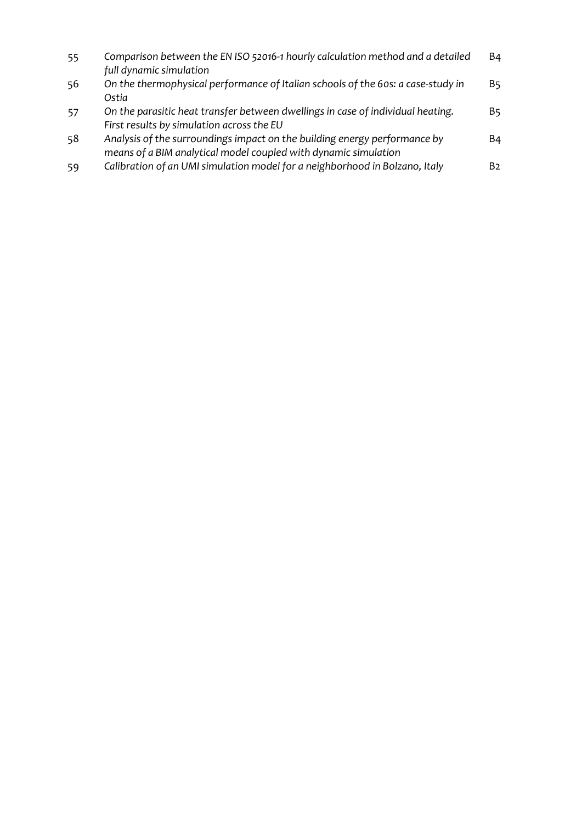| 55 | Comparison between the EN ISO 52016-1 hourly calculation method and a detailed<br>full dynamic simulation                                    | <b>B4</b>      |
|----|----------------------------------------------------------------------------------------------------------------------------------------------|----------------|
| 56 | On the thermophysical performance of Italian schools of the 60s: a case-study in<br>Ostia                                                    | B5.            |
| 57 | On the parasitic heat transfer between dwellings in case of individual heating.<br>First results by simulation across the EU                 | B5.            |
| 58 | Analysis of the surroundings impact on the building energy performance by<br>means of a BIM analytical model coupled with dynamic simulation | B4             |
| 59 | Calibration of an UMI simulation model for a neighborhood in Bolzano, Italy                                                                  | B <sub>2</sub> |